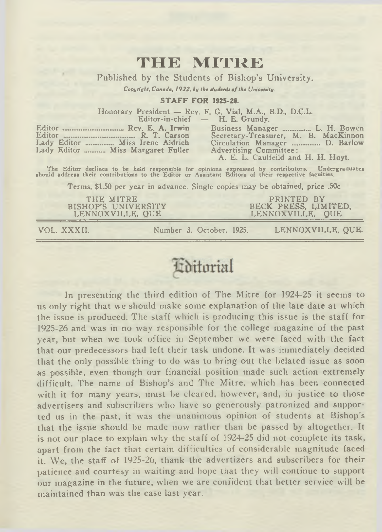### **THE MITRE**

Published by the Students of Bishop's University.

*Copyright, Canada, 1922, by the students of the University.*

#### **STAFF FOR 1925-26.**

Honorary President — Rev. F. G. Vial, M.A., B.D., D.C.L.<br>Editor-in-chief — H. E. Grundy H. E. Grundy.

| Lady Editor  Miss Irene Aldrich   |
|-----------------------------------|
| Lady Editor  Miss Margaret Fuller |

Business Manager ................ L. H. Bowen ............... R. T. Carson Secretary-Treasurer, M. B. MacKinnon<br>... Miss Irene Aldrich Circulation Manager ................. D. Barlow Advertising Committee: A. E. L. Caulfeild and H. H. Hoyt.

The Editor declines to be held responsible for opinions expressed by contributors. Undergraduates should address their contributions to the Editor or Assistant Editors of their respective faculties.

Terms, \$1.50 per year in advance. Single copies may be obtained, price .50c

THE MITRE<br>BISHOP'S UNIVERSITY LENNOXVILLE, QUE.

PRINTED BY<br>BECK PRESS, LIMITED,<br>LENNOXVILLE, QUE.

VOL. XXXII. Number 3. October, 1925. LENNOXVILLE, QUE.

### **T**ditorial

In presenting the third edition of The Mitre for 1924-25 it seems to us only right that we should make some explanation of the late date at which the issue is produced. The staff which is producing this issue is the staff for 1925-26 and was in no way responsible for the college magazine of the past year, but when we took office in September we were faced with the fact that our predecessors had left their task undone. It was immediately decided that the only possible thing to do was to bring out the belated issue as soon as possible, even though our financial position made such action extremely difficult. The name of Bishop's and The Mitre, which has been connected with it for many years, must be cleared, however, and, in justice to those advertisers and subscribers who have so generously patronized and supported us in the past, it was the unanimous opinion of students at Bishop's that the issue should be made now rather than be passed by altogether. It is not our place to explain why the staff of 1924-25 did not complete its task, apart from the fact that certain difficulties of considerable magnitude faced it. We, the staff of 1925-26, thank the advertizers and subscribers for their patience and courtesy in waiting and hope that they will continue to support our magazine in the future, when we are confident that better service will be maintained than was the case last year.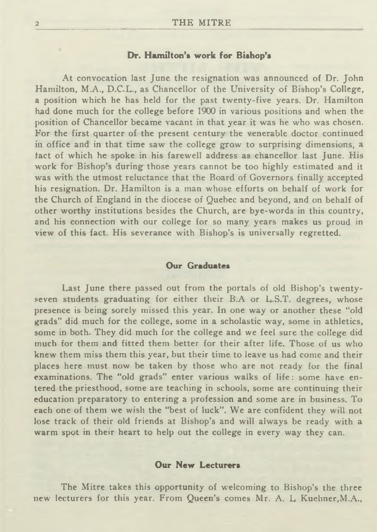#### **Dr. Hamilton's work for Bishop's**

At convocation last June the resignation was announced of Dr. John Hamilton, M.A., D.C.L., as Chancellor of the University of Bishop's College, a position which he has held for the past twenty-five years. Dr. Hamilton had done much for the college before 1900 in various positions and when the position of Chancellor became vacant in that year it was he who was chosen. For the first quarter of the present century the venerable doctor continued in office and in that time saw the college grow to surprising dimensions, a fact of which he spoke in his farewell address as chancellor last June. His work for Bishop's during those years cannot be too highly estimated and it was with the utmost reluctance that the Board of Governors finally accepted his resignation. Dr. Hamilton is a man whose efforts on behalf of work for the Church of England in the diocese of Quebec and beyond, and on behalf of other worthy institutions besides the Church, are bye-words in this country, and his connection with our college for so many years makes us proud in view of this fact. His severance with Bishop's is universally regretted.

#### **Our Graduates**

Last June there passed out from the portals of old Bishop's twentyseven students graduating for either their B.A or L.S.T. degrees, whose presence is being sorely missed this year. In one way or another these "old grads" did much for the college, some in a scholastic way, some in athletics, some in both. They did much for the college and we feel sure the college did much for them and fitted them better for their after life. Those of us who knew them miss them this year, but their time to leave us had come and their places here must now be taken by those who are not ready for the final examinations. The "old grads" enter various walks of life: some have entered the priesthood, some are teaching in schools, some are continuing their education preparatory to entering a profession and some are in business. To each one of them we wish the "best of luck". We are confident they will not lose track of their old friends at Bishop's and will always be ready with a warm spot in their heart to help out the college in every way they can.

#### **Our New Lecturers**

The Mitre takes this opportunity of welcoming to Bishop's the three new lecturers for this year. From Queen's comes Mr. A. L Kuehner,M.A.,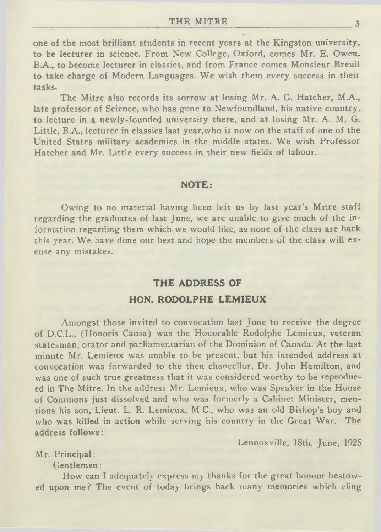one of the most brilliant students in recent years at the Kingston university, to be lecturer in science. From New College, Oxford, comes Mr. E. Owen, B.A., to become lecturer in classics, and from France comes Monsieur Breuil to take charge of Modern Languages. We wish them every success in their tasks.

The Mitre also records its sorrow at losing Mr. A. G. Hatcher, M.A., late professor of Science, who has gone to Newfoundland, his native country, to lecture in a newly-founded university there, and at losing Mr. A. M. G. Little, B.A., lecturer in classics last year, who is now on the staff of one of the United States military academies in the middle states. We wish Professor Hatcher and Mr. Little every success in their new fields of labour.

#### **NOTE:**

Owing to no material having been left us by last year's Mitre staff regarding the graduates of last June, we are unable to give much of the information regarding them which we would like, as none of the class are back this year. We have done our best and hope the members of the class will excuse any mistakes.

### **THE ADDRESS OF HON. RODOLPHE LEMIEUX**

Amongst those invited to convocation last June to receive the degree of D.C.L., (Honoris Causa) was the Honorable Rodolphe Lemieux, veteran statesman, orator and parliamentarian of the Dominion of Canada. At the last minute Mr. Lemieux was unable to be present, but his intended address at convocation was forwarded to the then chancellor, Dr. John Hamilton, and was one of such true greatness that it was considered worthy to be reproduced in The Mitre. In the address Mr. Lemieux, who was Speaker in the House of Commons just dissolved and who was formerly a Cabinet Minister, mentions his son, Lieut. L. R. Lemieux, M.C., who was an old Bishop's boy and who was killed in action while serving his country in the Great War. The address follows:

Lennoxville, 18th. June, 1925

Mr. Principal:

Gentlemen:

How can I adequately express my thanks for the great honour bestowed upon me? The event of today brings back many memories which cling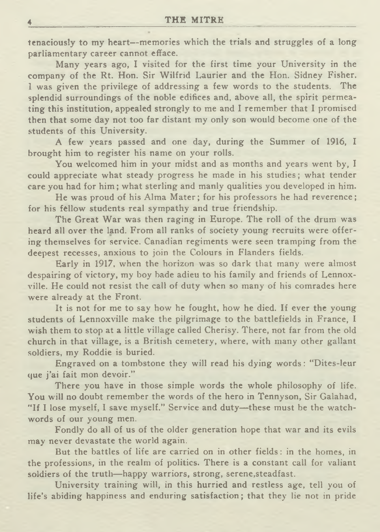tenaciously to my heart— memories which the trials and struggles of a long parliamentary career cannot efface.

Many years ago, I visited for the first time your University in the company of the Rt. Hon. Sir Wilfrid Laurier and the Hon. Sidney Fisher. I was given the privilege of addressing a few words to the students. The splendid surroundings of the noble edifices and, above all, the spirit permeating this institution, appealed strongly to me and I remember that I promised then that some day not too far distant my only son would become one of the students of this University.

A few years passed and one day, during the Summer of 1916, I brought him to register his name on your rolls.

You welcomed him in your midst and as months and years went by, I could appreciate what steady progress he made in his studies; what tender care you had for him; what sterling and manly qualities you developed in him.

He was proud of his Alma Mater; for his professors he had reverence; for his fellow students real sympathy and true friendship.

The Great War was then raging in Europe. The roll of the drum was heard all over the land. From all ranks of society young recruits were offering themselves for service. Canadian regiments were seen tramping from the deepest recesses, anxious to join the Colours in Flanders fields.

Early in 1917, when the horizon was so dark that many were almost despairing of victory, my boy bade adieu to his family and friends of Lennoxville. He could not resist the call of duty when so many of his comrades here were already at the Front.

It is not for me to say how he fought, how he died. If ever the young students of Lennoxville make the pilgrimage to the battlefields in France, I wish them to stop at a little village called Cherisy. There, not far from the old church in that village, is a British cemetery, where, with many other gallant soldiers, my Roddie is buried.

Engraved on a tombstone they will read his dying words: " Dites-leur que j'ai fait mon devoir."

There you have in those simple words the whole philosophy of life. You will no doubt remember the words of the hero in Tennyson, Sir Galahad, "If I lose myself, I save myself." Service and duty-these must be the watchwords of our young men.

Fondly do all of us of the older generation hope that war and its evils may never devastate the world again.

But the battles of life are carried on in other fields: in the homes, in the professions, in the realm of politics. There is a constant call for valiant soldiers of the truth— happy warriors, strong, serene,steadfast.

University training will, in this hurried and restless age, tell you of life's abiding happiness and enduring satisfaction; that they lie not in pride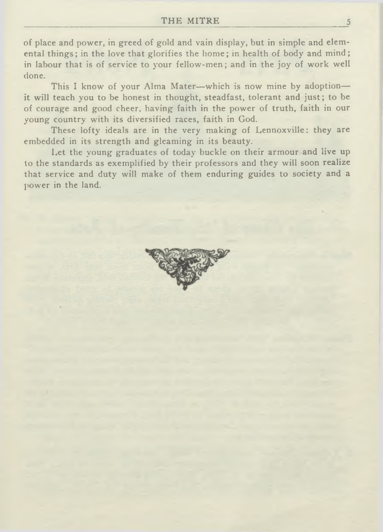of place and power, in greed of gold and vain display, but in simple and elemental things; in the love that glorifies the home; in health of body and mind; in labour that is of service to your fellow-men; and in the joy of work well done.

This I know of your Alma Mater—which is now mine by adoption it will teach you to be honest in thought, steadfast, tolerant and just; to be of courage and good cheer, having faith in the power of truth, faith in our young country with its diversified races, faith in God.

These lofty ideals are in the very making of Lennoxville: they are embedded in its strength and gleaming in its beauty.

Let the young graduates of today buckle on their armour and live up to the standards as exemplified by their professors and they will soon realize that service and duty will make of them enduring guides to society and a power in the land.

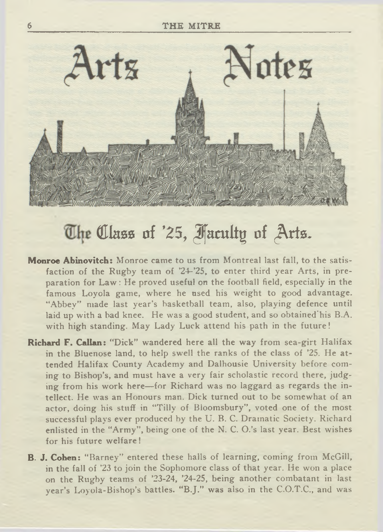

## **The Class of '25, faculty of Arts.**

- **Monroe Abinovitch:** Monroe came to us from Montreal last fall, to the satisfaction of the Rugby team of '24-'25, to enter third year Arts, in preparation for Law : He proved useful on the football field, especially in the famous Loyola game, where he used his weight to good advantage. "Abbey" made last year's basketball team, also, playing defence until laid up with a bad knee. He was a good student, and so obtained'his B.A. with high standing. May Lady Luck attend his path in the future!
- **Richard F. Callan:** "Dick" wandered here all the way from sea-girt Halifax in the Bluenose land, to help swell the ranks of the class of '25. He attended Halifax County Academy and Dalhousie University before coming to Bishop's, and must have a very fair scholastic record there, judging from his work here— for Richard was no laggard as regards the intellect. He was an Honours man. Dick turned out to be somewhat of an actor, doing his stuff in "Tilly of Bloomsbury", voted one of the most successful plays ever produced by the U. B. C. Dramatic Society. Richard enlisted in the "Army", being one of the N. C. O.'s last year. Best wishes for his future welfare!
- **B. J. Cohen:** " Barney" entered these halls of learning, coming from McGill, in the fall of '23 to join the Sophomore class of that year. He won a place on the Rugby teams of '23-24, '24-25, being another combatant in last year's Loyola-Bishop's battles. " B.J." was also in the C.O.T.C., and was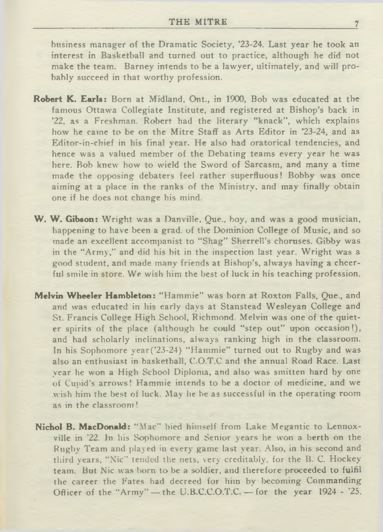business manager of the Dramatic Society, '23-24. Last year he took an interest in Basketball and turned out to practice, although he did not make the team. Barney intends to be a lawyer, ultimately, and will probably succeed in that worthy profession.

- **Robert K. Earls:** Born at Midland, Ont., in 1900, Bob was educated at the famous Ottawa Collegiate Institute, and registered at Bishop's back in '22, as a Freshman. Robert had the literary "knack", which explains how he came to be on the Mitre Staff as Arts Editor in '23-24, and as Editor-in-chief in his final year. He also had oratorical tendencies, and hence was a valued member of the Debating teams every year he was here. Bob knew how to wield the Sword of Sarcasm, and many a time made the opposing debaters feel rather superfluous! Bobby was once aiming at a place in the ranks of the Ministry, and may finally obtain one if he does not change his mind.
- **W. W. Gibson:** Wright was a Danville, Que., boy, and was a good musician, happening to have been a grad, of the Dominion College of Music, and so made an excellent accompanist to " Shag" Sherrell's choruses. Gibby was in the "Army," and did his bit in the inspection last year. Wright was a good student, and made many friends at Bishop's, always having a cheerful smile in store. We wish him the best of luck in his teaching profession.
- **Melvin Wheeler Hambleton:** " Hammie" was born at Roxton Falls, Que., and and was educated in his early days at Stanstead Wesleyan College and St. Francis College High School, Richmond. Melvin was one of the quieter spirits of the place (although he could " step out" upon occasion!), and had scholarly inclinations, always ranking high in the classroom. In his Sophomore year('23-24) " Hammie" turned out to Rugby and was also an enthusiast in basketball, C.O.T.C and the annual Road Race. Last year he won a High School Diploma, and also was smitten hard by one of Cupid's arrows! Hammie intends to be a doctor of medicine, and we wish him the best of luck. May he be as successful in the operating room as in the classroom !
- **Nichol B. MacDonald:** " Mac" hied himself from Lake Megantic to Lennoxville in '22. In his Sophomore and Senior years he won a berth on the Rugby Team and played in every game last year. Also, in his second and third years, " Nic" tended the nets, very creditably, for the B. C. Hockey team. But Nic was horn to be a soldier, and therefore proceeded to fulfil the career the Fates had decreed for him by becoming Commanding Officer of the "Army" — the U.B.C.C.O.T.C. — for the year 1924 - '25.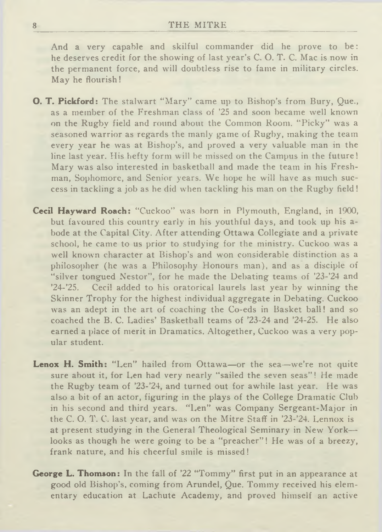#### 8 THE MITRE

And a very capable and skilful commander did he prove to be: he deserves credit for the showing of last year's C. O. T. C. Mac is now in the permanent force, and will doubtless rise to fame in military circles. May he flourish!

- **O. T. Pickford:** The stalwart "Mary" came up to Bishop's from Bury, Que., as a member of the Freshman class of '25 and soon became well known on the Rugby field and round about the Common Room. " Picky" was a seasoned warrior as regards the manly game of Rugby, making the team every year he was at Bishop's, and proved a very valuable man in the line last year. His hefty form will be missed on the Campus in the future! Mary was also interested in basketball and made the team in his Freshman, Sophomore, and Senior years. We hope he will have as much success in tackling a job as he did when tackling his man on the Rugby field!
- Cecil Hayward Roach: "Cuckoo" was born in Plymouth, England, in 1900, but favoured this country early in his youthful days, and took up his abode at the Capital City. After attending Ottawa Collegiate and a private school, he came to us prior to studying for the ministry. Cuckoo was a well known character at Bishop's and won considerable distinction as a philosopher (he was a Philosophy Honours man), and as a disciple of "silver tongued Nestor", for he made the Debating teams of '23-'24 and '24-'25. Cecil added to his oratorical laurels last year by winning the Skinner Trophy for the highest individual aggregate in Debating. Cuckoo was an adept in the art of coaching the Co-eds in Basket ball! and so coached the B. C. Ladies' Basketball teams of '23-24 and '24-25. He also earned a place of merit in Dramatics. Altogether, Cuckoo was a very popular student.
- Lenox H. Smith: "Len" hailed from Ottawa-or the sea-we're not quite sure about it, for Len had very nearly "sailed the seven seas"! He made the Rugby team of '23-'24, and turned out for awhile last year. He was also a bit of an actor, figuring in the plays of the College Dramatic Club in his second and third years. "Len" was Company Sergeant-Major in the C. O. T. C. last year, and was on the Mitre Staff in '23-'24. Lennox is at present studying in the General Theological Seminary in New York looks as though he were going to be a "preacher"! He was of a breezy, frank nature, and his cheerful smile is missed!
- **George L. Thomson:** In the fall of '22 "Tommy" first put in an appearance at good old Bishop's, coming from Arundel, Que. Tommy received his elementary education at Lachute Academy, and proved himself an active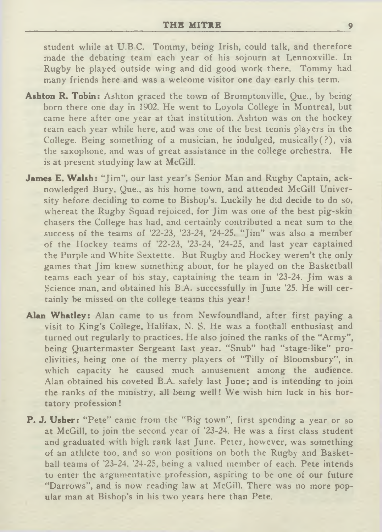student while at U.B C. Tommy, being Irish, could talk, and therefore made the debating team each year of his sojourn at Lennoxville. In Rugby he played outside wing and did good work there. Tommy had many friends here and was a welcome visitor one day early this term.

- **Ashton R. Tobin:** Ashton graced the town of Bromptonville, Que., by being born there one day in 1902. He went to Loyola College in Montreal, but came here after one year at that institution. Ashton was on the hockey team each year while here, and was one of the best tennis players in the College. Being something of a musician, he indulged, musically( ?), via the saxophone, and was of great assistance in the college orchestra. He is at present studying law at McGill.
- James E. Walsh: "Jim", our last year's Senior Man and Rugby Captain, acknowledged Bury, Que., as his home town, and attended McGill University before deciding to come to Bishop's. Luckily he did decide to do so, whereat the Rugby Squad rejoiced, for Jim was one of the best pig-skin chasers the College has had, and certainly contributed a neat sum to the success of the teams of '22-23, '23-24, '24-25. "Jim" was also a member of the Hockey teams of '22-23, '23-24, '24-25, and last year captained the Purple and White Sextette. But Rugby and Hockey weren't the only games that Jim knew something about, for he played on the Basketball teams each year of his stay, captaining the team in '23-24. Jim was a Science man, and obtained his B.A. successfully in June '25. He will certainly be missed on the college teams this year!
- **Alan Whatley:** Alan came to us from Newfoundland, after first paying a visit to King's College, Halifax, N. S. He was a football enthusiast and turned out regularly to practices. He also joined the ranks of the "Army", being Quartermaster Sergeant last year. " Snub" had " stage-like" proclivities, being one of the merry players of "Tilly of Bloomsbury", in which capacity he caused much amusement among the audience. Alan obtained his coveted B.A. safely last June; and is intending to join the ranks of the ministry, all being well! We wish him luck in his hortatory profession!
- P. J. Usher: "Pete" came from the "Big town", first spending a year or so at McGill, to join the second year of '23-24. He was a first class student and graduated with high rank last June. Peter, however, was something of an athlete too, and so won positions on both the Rugby and Basketball teams of '23-24, '24-25, being a valued member of each. Pete intends to enter the argumentative profession, aspiring to be one of our future "Darrows", and is now reading law at McGill. There was no more popular man at Bishop's in his two years here than Pete.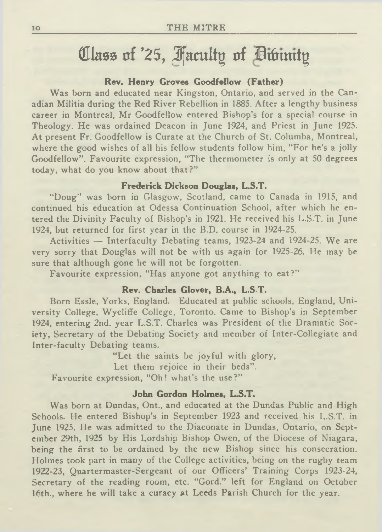# Class of *'25, Faculty of Divinity*

#### **Rev. Henry Groves Goodfellow (Father)**

Was born and educated near Kingston, Ontario, and served in the Canadian Militia during the Red River Rebellion in 1885. After a lengthy business career in Montreal, Mr Goodfellow entered Bishop's for a special course in Theology. He was ordained Deacon in June 1924, and Priest in June 1925. At present Fr. Goodfellow is Curate at the Church of St. Columba, Montreal, where the good wishes of all his fellow students follow him, "For he's a jolly Goodfellow". Favourite expression, "The thermometer is only at 50 degrees today, what do you know about that ?"

#### **Frederick Dickson Douglas, L.S.T.**

"Doug" was born in Glasgow, Scotland, came to Canada in 1915, and continued his education at Odessa Continuation School, after which he entered the Divinity Faculty of Bishop's in 1921. He received his L.S.T. in June 1924, but returned for first year in the B.D. course in 1924-25.

Activities — Interfaculty Debating teams, 1923-24 and 1924-25. We are very sorry that Douglas will not be with us again for 1925-26. He may be sure that although gone he will not be forgotten.

Favourite expression, "Has anyone got anything to eat?"

#### **Rev. Charles Glover, B.A., L.S.T.**

Born Essie, Yorks, England. Educated at public schools, England, University College, Wycliffe College, Toronto. Came to Bishop's in September 1924, entering 2nd. year L.S.T. Charles was President of the Dramatic Society, Secretary of the Debating Society and member of Inter-Collegiate and Inter-faculty Debating teams.

"Let the saints be joyful with glory, Let them rejoice in their beds". Favourite expression, "Oh! what's the use?"

#### **John Gordon Holmes, L.S.T.**

Was born at Dundas, Ont., and educated at the Dundas Public and High Schools. He entered Bishop's in September 1923 and received his L.S.T. in June 1925. He was admitted to the Diaconate in Dundas, Ontario, on September 29th, 1925 by His Lordship Bishop Owen, of the Diocese of Niagara, being the first to be ordained by the new Bishop since his consecration. Holmes took part in many of the College activities, being on the rugby team 1922-23, Quartermaster-Sergeant of our Officers' Training Corps 1923-24, Secretary of the reading room, etc. "Gord." left for England on October 16th., where he will take a curacy at Leeds Parish Church for the year.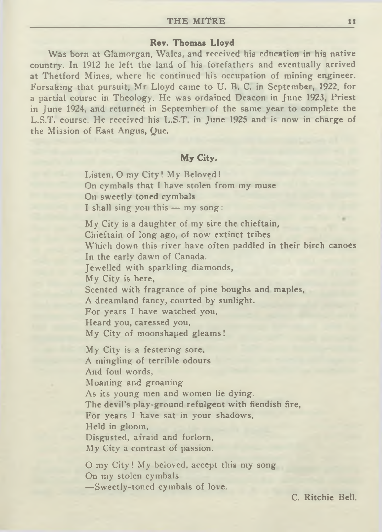#### **Rev. Thomas Lloyd**

Was born at Glamorgan, Wales, and received his education in his native country. In 1912 he left the land of his forefathers and eventually arrived at Thetford Mines, where he continued his occupation of mining engineer. Forsaking that pursuit, Mr Lloyd came to U. B. C. in September, 1922, for a partial course in Theology. He was ordained Deacon in June 1923, Priest in June 1924, and returned in September of the same year to complete the L.S.T. course. He received his L.S.T. in June 1925 and is now in charge of the Mission of East Angus, Que.

#### **My City.**

Listen, O my City! My Beloved! On cymbals that I have stolen from my muse On sweetly toned cymbals I shall sing you this — my song:

My City is a daughter of my sire the chieftain, Chieftain of long ago, of now extinct tribes Which down this river have often paddled in their birch canoes In the early dawn of Canada. Jewelled with sparkling diamonds, My City is here, Scented with fragrance of pine boughs and maples, A dreamland fancy, courted by sunlight. For years I have watched you, Heard you, caressed you. My City of moonshaped gleams! My City is a festering sore, A mingling of terrible odours And foul words, Moaning and groaning As its young men and women lie dying. The devil's play-ground refulgent with fiendish fire, For years I have sat in your shadows,

Held in gloom,

Disgusted, afraid and forlorn,

My City a contrast of passion.

O my City! My beloved, accept this my song On my stolen cymbals —Sweetly-toned cymbals of love.

C. Ritchie Bell.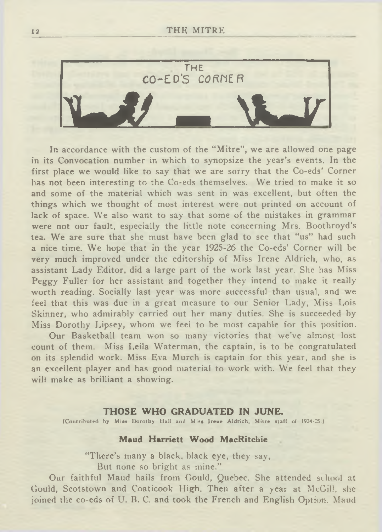

In accordance with the custom of the " Mitre", we are allowed one page in its Convocation number in which to synopsize the year's events. In the first place we would like to say that we are sorry that the Co-eds' Corner has not been interesting to the Co-eds themselves. We tried to make it so and some of the material which was sent in was excellent, but often the things which we thought of most interest were not printed on account of lack of space. We also want to say that some of the mistakes in grammar were not our fault, especially the little note concerning Mrs. Boothroyd's tea. We are sure that she must have been glad to see that " us" had such a nice time. We hope that in the year 1925-26 the Co-eds' Corner will be very much improved under the editorship of Miss Irene Aldrich, who, as assistant Lady Editor, did a large part of the work last year. She has Miss Peggy Fuller for her assistant and together they intend to make it really worth reading. Socially last year was more successful than usual, and we feel that this was due in a great measure to our Senior Lady, Miss Lois Skinner, who admirably carried out her many duties. She is succeeded by Miss Dorothy Lipsey, whom we feel to be most capable for this position.

Our Basketball team won so many victories that we've almost lost count of them. Miss Leila Waterman, the captain, is to be congratulated on its splendid work. Miss Eva Murch is captain for this year, and she is an excellent player and has good material to work with. We feel that they will make as brilliant a showing.

#### **THOSE WHO GRADUATED IN JUNE.**

(Contributed by Miss Dorothy Hall and Miss Irene Aldrich, Mitre staff of 1924-25.)

#### **Maud Harriett Wood MacRitchie**

"There's many a black, black eye, they say, But none so bright as mine."

Our faithful Maud hails from Gould, Quebec. She attended school at Gould, Scotstown and Coaticook High. Then after a year at McGill, she joined the co-eds of U. B. C. and took the French and English Option. Maud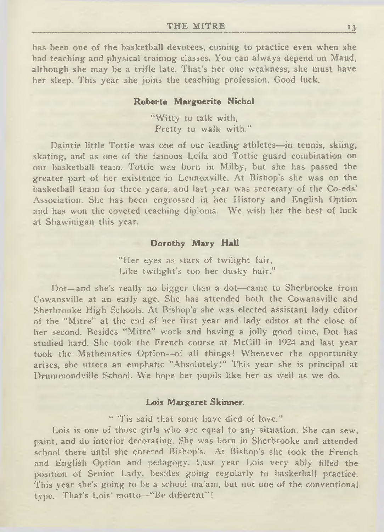has been one of the basketball devotees, coming to practice even when she had teaching and physical training classes. You can always depend on Maud, although she may be a trifle late. That's her one weakness, she must have her sleep. This year she joins the teaching profession. Good luck.

#### **Roberta Marguerite Nichol**

" Witty to talk with, Pretty to walk with."

Daintie little Tottie was one of our leading athletes—in tennis, skiing, skating, and as one of the famous Leila and Tottie guard combination on our basketball team. Tottie was born in Milby, but she has passed the greater part of her existence in Lennoxville. At Bishop's she was on the basketball team for three years, and last year was secretary of the Co-eds' Association. She has been engrossed in her History and English Option and has won the coveted teaching diploma. We wish her the best of luck at Shawinigan this year.

#### **Dorothy Mary Hall**

"Her eyes as stars of twilight fair, Like twilight's too her dusky hair."

Dot—and she's really no bigger than a dot—came to Sherbrooke from Cowansville at an early age. She has attended both the Cowansville and Sherbrooke High Schools. At Bishop's she was elected assistant lady editor of the "Mitre" at the end of her first year and lady editor at the close of her second. Besides "Mitre" work and having a jolly good time, Dot has studied hard. She took the French course at McGill in 1924 and last year took the Mathematics Option—of all things! Whenever the opportunity arises, she utters an emphatic "Absolutely!" This year she is principal at Drummondville School. We hope her pupils like her as well as we do.

#### **Lois Margaret Skinner.**

" 'Tis said that some have died of love."

Lois is one of those girls who are equal to any situation. She can sew, paint, and do interior decorating. She was born in Sherbrooke and attended school there until she entered Bishop's. At Bishop's she took the French and English Option and pedagogy. Last year Lois very ably filled the position of Senior Lady, besides going regularly to basketball practice. This year she's going to be a school ma'am, but not one of the conventional type. That's Lois' motto—" Be different" !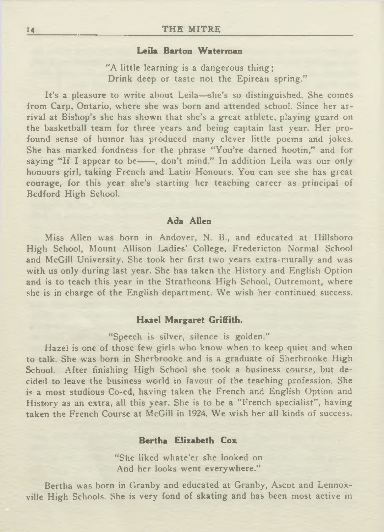#### **Leila Barton Waterman**

"A little learning is a dangerous thing; Drink deep or taste not the Epirean spring."

It's a pleasure to write about Leila—she's so distinguished. She comes from Carp, Ontario, where she was born and attended school. Since her arrival at Bishop's she has shown that she's a great athlete, playing guard on the basketball team for three years and being captain last year. Her profound sense of humor has produced many clever little poems and jokes. She has marked fondness for the phrase "You're darned hootin," and for saying "If I appear to be-, don't mind." In addition Leila was our only honours girl, taking French and Latin Honours. You can see she has great courage, for this year she's starting her teaching career as principal of Bedford High School.

#### **Ada Allen**

Miss Allen was born in Andover, N. B., and educated at Hillsboro High School, Mount Allison Ladies' College, Fredericton Normal School and McGill University. She took her first two years extra-murally and was with us only during last year. She has taken the History and English Option and is to teach this year in the Strathcona High School, Outremont, where she is in charge of the English department. We wish her continued success.

#### **Hazel Margaret Griffith.**

"Speech is silver, silence is golden."

Hazel is one of those few girls who know when to keep quiet and when to talk. She was born in Sherbrooke and is a graduate of Sherbrooke High School. After finishing High School she took a business course, but decided to leave the business world in favour of the teaching profession. She is a most studious Co-ed, having taken the French and English Option and History as an extra, all this year. She is to be a "French specialist", having taken the French Course at McGill in 1924. We wish her all kinds of success.

#### **Bertha Elizabeth Cox**

" She liked whate'er she looked on And her looks went everywhere."

Bertha was born in Granby and educated at Granby, Ascot and Lennoxville High Schools. She is very fond of skating and has been most active in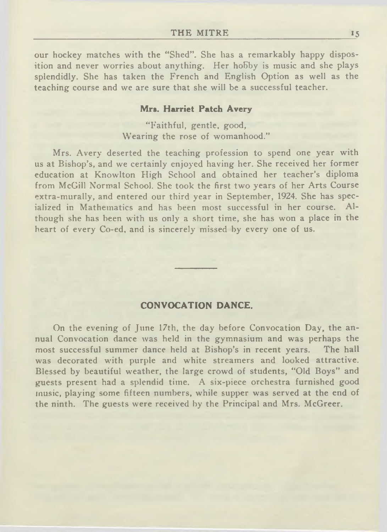our hockey matches with the "Shed". She has a remarkably happy disposition and never worries about anything. Her hobby is music and she plays splendidly. She has taken the French and English Option as well as the teaching course and we are sure that she will be a successful teacher.

#### **Mrs. Harriet Patch Avery**

"Faithful, gentle, good, Wearing the rose of womanhood."

Mrs. Avery deserted the teaching profession to spend one year with us at Bishop's, and we certainly enjoyed having her. She received her former education at Knowlton High School and obtained her teacher's diploma from McGill Normal School. She took the first two years of her Arts Course extra-murally, and entered our third year in September, 1924. She has specialized in Mathematics and has been most successful in her course. Although she has been with us only a short time, she has won a place in the heart of every Co-ed, and is sincerely missed by every one of us.

#### **CONVOCATION DANCE.**

On the evening of June 17th, the day before Convocation Day, the annual Convocation dance was held in the gymnasium and was perhaps the most successful summer dance held at Bishop's in recent years. The hall was decorated with purple and white streamers and looked attractive. Blessed by beautiful weather, the large crowd of students, "Old Boys" and guests present had a splendid time. A six-piece orchestra furnished good music, playing some fifteen numbers, while supper was served at the end of the ninth. The guests were received by the Principal and Mrs. McGreer.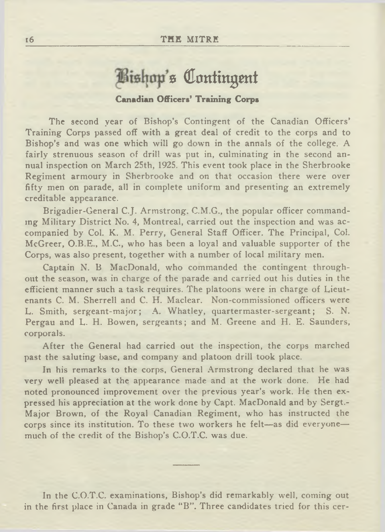# **Bishop's Contingent**

#### **Canadian Officers' Training Corps**

The second year of Bishop's Contingent of the Canadian Officers' Training Corps passed off with a great deal of credit to the corps and to Bishop's and was one which will go down in the annals of the college. A fairly strenuous season of drill was put in, culminating in the second annual inspection on March 25th, 1925. This event took place in the Sherbrooke Regiment armoury in Sherbrooke and on that occasion there were over fifty men on parade, all in complete uniform and presenting an extremely creditable appearance.

Brigadier-General C.J. Armstrong, C.M.G., the popular officer commanding Military District No. 4, Montreal, carried out the inspection and was accompanied by Col. K. M. Perry, General Staff Officer. The Principal, Col. McGreer, O.B.E., M.C., who has been a loyal and valuable supporter of the Corps, was also present, together with a number of local military men.

Captain N. B MacDonald, who commanded the contingent throughout the season, was in charge of the parade and carried out his duties in the efficient manner such a task requires. The platoons were in charge of Lieutenants C. M. Sherrell and C. H. Maclear. Non-commissioned officers were L. Smith, sergeant-major; A. Whatley, quartermaster-sergeant; S. N. Pergau and L. H. Bowen, sergeants; and M. Greene and H. E. Saunders, corporals.

After the General had carried out the inspection, the corps marched past the saluting base, and company and platoon drill took place.

In his remarks to the corps, General Armstrong declared that he was very well pleased at the appearance made and at the work done. He had noted pronounced improvement over the previous year's work. He then expressed his appreciation at the work done by Capt. MacDonald and by Sergt.- Major Brown, of the Royal Canadian Regiment, who has instructed the corps since its institution. To these two workers he felt—as did everyone much of the credit of the Bishop's C-O.T.C. was due.

In the C.O.T.C. examinations, Bishop's did remarkably well, coming out in the first place in Canada in grade "B". Three candidates tried for this cer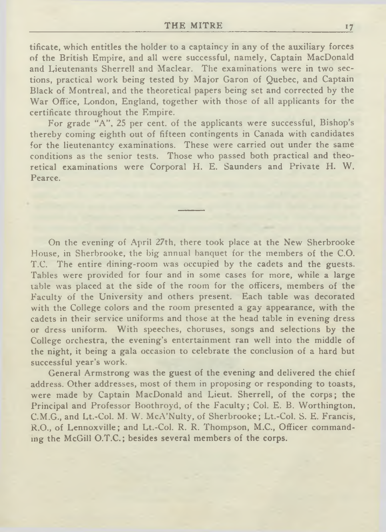tificate, which entitles the holder to a captaincy in any of the auxiliary forces of the British Empire, and all were successful, namely, Captain MacDonald and Lieutenants Sherrell and Maclear. The examinations were in two sections, practical work being tested by Major Garon of Quebec, and Captain Black of Montreal, and the theoretical papers being set and corrected by the War Office, London, England, together with those of all applicants for the certificate throughout the Empire.

For grade "A", 25 per cent, of the applicants were successful, Bishop's thereby coming eighth out of fifteen contingents in Canada with candidates for the lieutenantcy examinations. These were carried out under the same conditions as the senior tests. Those who passed both practical and theoretical examinations were Corporal H. E. Saunders and Private H. W. Pearce.

On the evening of April 27th, there took place at the New Sherbrooke House, in Sherbrooke, the big annual banquet for the members of the C.O. T.C. The entire dining-room was occupied by the cadets and the guests. Tables were provided for four and in some cases for more, while a large table was placed at the side of the room for the officers, members of the Faculty of the University and others present. Each table was decorated with the College colors and the room presented a gay appearance, with the cadets in their service uniforms and those at the head table in evening dress or dress uniform. With speeches, choruses, songs and selections by the College orchestra, the evening's entertainment ran well into the middle of the night, it being a gala occasion to celebrate the conclusion of a hard but successful year's work.

General Armstrong was the guest of the evening and delivered the chief address. Other addresses, most of them in proposing or responding to toasts, were made by Captain MacDonald and Lieut. Sherrell, of the corps; the Principal and Professor Boothroyd, of the Faculty; Col. E. B. Worthington, C.M.G., and Lt.-Col. M. W. McA'Nulty, of Sherbrooke; Lt.-Col. S. E. Francis, R.O., of Lennoxville; and Lt.-Col. R. R. Thompson, M.C., Officer commanding the McGill O.T.C.; besides several members of the corps.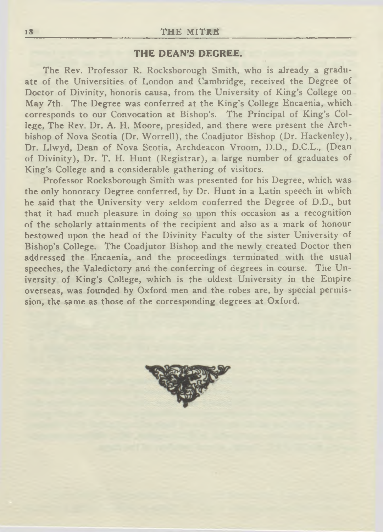#### **THE DEAN'S DEGREE.**

The Rev. Professor R. Rocksborough Smith, who is already a graduate of the Universities of London and Cambridge, received the Degree of Doctor of Divinity, honoris causa, from the University of King's College on May 7th. The Degree was conferred at the King's College Encaenia, which corresponds to our Convocation at Bishop's. The Principal of King's College, The Rev. Dr. A. H. Moore, presided, and there were present the Archbishop of Nova Scotia (Dr. Worrell), the Coadjutor Bishop (Dr. Hackenley), Dr. Llwyd, Dean of Nova Scotia, Archdeacon Vroom, D.D., D.C.L., (Dean of Divinity), Dr. T. H. Hunt (Registrar), a large number of graduates of King's College and a considerable gathering of visitors.

Professor Rocksborough Smith was presented for his Degree, which was the only honorary Degree conferred, by Dr. Hunt in a Latin speech in which he said that the University very seldom conferred the Degree of D.D., but that it had much pleasure in doing so upon this occasion as a recognition of the scholarly attainments of the recipient and also as a mark of honour bestowed upon the head of the Divinity Faculty of the sister University of Bishop's College. The Coadjutor Bishop and the newly created Doctor then addressed the Encaenia, and the proceedings terminated with the usual speeches, the Valedictory and the conferring of degrees in course. The University of King's College, which is the oldest University in the Empire overseas, was founded by Oxford men and the robes are, by special permission, the same as those of the corresponding degrees at Oxford.

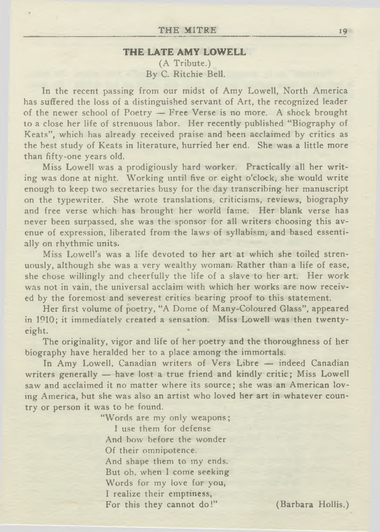#### **THE LATE AMY LOWELL**

(A Tribute.) By C. Ritchie Bell.

In the recent passing from our midst of Amy Lowell, North America has suffered the loss of a distinguished servant of Art, the recognized leader of the newer school of Poetry — Free Verse is no more. A shock brought to a close her life of strenuous labor. Her recently published " Biography of Keats", which has already received praise and been acclaimed by critics as the best study of Keats in literature, hurried her end. She was a little more than fifty-one years old.

Miss Lowell was a prodigiously hard worker. Practically all her writing was done at night. Working until five or eight o'clock, she would write enough to keep two secretaries busy for the day transcribing her manuscript on the typewriter. She wrote translations, criticisms, reviews, biography and free verse which has brought her world fame. Her blank verse has never been surpassed, she was the sponsor for all writers choosing this avenue of expression, liberated from the laws of syllabism, and based essentially on rhythmic units.

Miss Lowell's was a life devoted to her art at which she toiled strenuously, although she was a very wealthy woman. Rather than a life of ease, she chose willingly and cheerfully the life of a slave to her art. Her work was not in vain, the universal acclaim with which her works are now received by the foremost and severest critics bearing proof to this statement.

Her first volume of poetry, "A Dome of Many-Coloured Glass", appeared in 1910; it immediately created a sensation. Miss Lowell was then twentyeight.

The originality, vigor and life of her poetry and the thoroughness of her biography have heralded her to a place among the immortals.

In Amy Lowell, Canadian writers of Vers Libre — indeed Canadian writers generally — have lost a true friend and kindly critic; Miss Lowell saw and acclaimed it no matter where its source; she was an American loving America, but she was also an artist who loved her art in whatever country or person it was to be found.

> "Words are my only weapons; I use them for defense And bow before the wonder Of their omnipotence. And shape them to my ends. But oh, when I come seeking Words for my love for you, I realize their emptiness, For this they cannot do!" (Barbara Hollis.)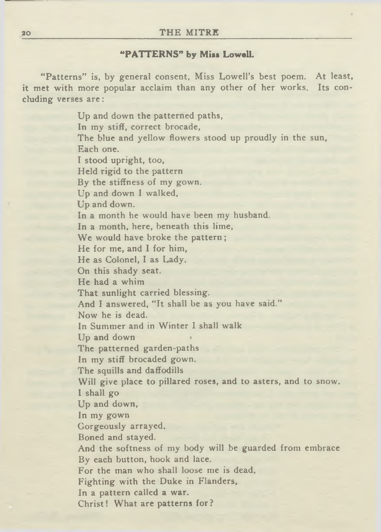#### **"PATTERNS" by Miss Lowell.**

"Patterns" is, by general consent, Miss Lowell's best poem. At least, it met with more popular acclaim than any other of her works. Its concluding verses are:

> Up and down the patterned paths, In my stiff, correct brocade, The blue and yellow flowers stood up proudly in the sun, Each one. I stood upright, too, Held rigid to the pattern By the stiffness of my gown. Up and down I walked, Up and down. In a month he would have been my husband. In a month, here, beneath this lime, We would have broke the pattern; He for me, and I for him, He as Colonel, I as Lady, On this shady seat. He had a whim That sunlight carried blessing. And I answered, "It shall be as you have said." Now he is dead. In Summer and in Winter I shall walk Up and down The patterned garden-paths In my stiff brocaded gown. The squills and daffodills Will give place to pillared roses, and to asters, and to snow. I shall go Up and down, In my gown Gorgeously arrayed. Boned and stayed. And the softness of my body will be guarded from embrace By each button, hook and lace. For the man who shall loose me is dead. Fighting with the Duke in Flanders, In a pattern called a war. Christ! What are patterns for?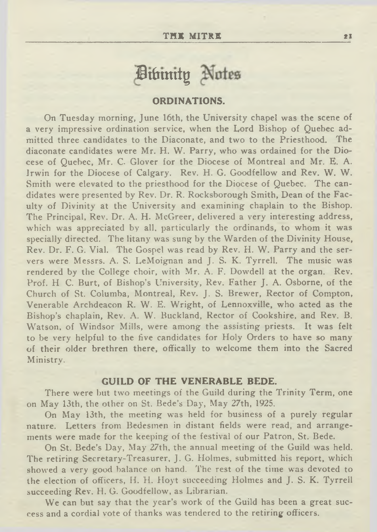## Divinity Notes

#### **ORDINATIONS.**

On Tuesday morning, June 16th, the University chapel was the scene of a very impressive ordination service, when the Lord Bishop of Quebec admitted three candidates to the Diaconate, and two to the Priesthood. The diaconate candidates were Mr. H. W. Parry, who was ordained for the Diocese of Quebec, Mr. C. Glover for the Diocese of Montreal and Mr. E. A. Irwin for the Diocese of Calgary. Rev. H. G. Goodfellow and Rev. W. W. Smith were elevated to the priesthood for the Diocese of Quebec. The candidates were presented by Rev. Dr. R. Rocksborough Smith, Dean of the Faculty of Divinity at the University and examining chaplain to the Bishop. The Principal, Rev. Dr. A. H. McGreer, delivered a very interesting address, which was appreciated by all, particularly the ordinands, to whom it was specially directed. The litany was sung by the Warden of the Divinity House, Rev. Dr. F. G. Vial. The Gospel was read by Rev. H. W. Parry and the servers were Messrs. A. S. LeMoignan and J. S. K. Tyrrell. The music was rendered by the College choir, with Mr. A. F. Dowdell at the organ. Rev. Prof. H C. Burt, of Bishop's University, Rev. Father J. A. Osborne, of the Church of St. Columba, Montreal, Rev. J. S. Brewer, Rector of Compton, Venerable Archdeacon R. W. E. Wright, of Lennoxville, who acted as the Bishop's chaplain, Rev. A. W. Buckland, Rector of Cookshire, and Rev. B. Watson, of Windsor Mills, were among the assisting priests. It was felt to be very helpful to the five candidates for Holy Orders to have so many of their older brethren there, offically to welcome them into the Sacred Ministry.

#### **GUILD OF THE VENERABLE BEDE.**

There were but two meetings of the Guild during the Trinity Term, one on May 13th, the other on St. Bede's Day, May 27th, 1925.

On May 13th, the meeting was held for business of a purely regular nature. Letters from Bedesmen in distant fields were read, and arrangements were made for the keeping of the festival of our Patron, St. Bede.

On St. Bede's Day, May 27th, the annual meeting of the Guild was held. The retiring Secretary-Treasurer, j. G. Holmes, submitted his report, which showed a very good balance on hand. The rest of the time was devoted to the election of officers, H. H. Hoyt succeeding Holmes and J. S. K. Tyrrell succeeding Rev. H. G. Goodfellow, as Librarian.

We can but say that the year's work of the Guild has been a great success and a cordial vote of thanks was tendered to the retiring officers.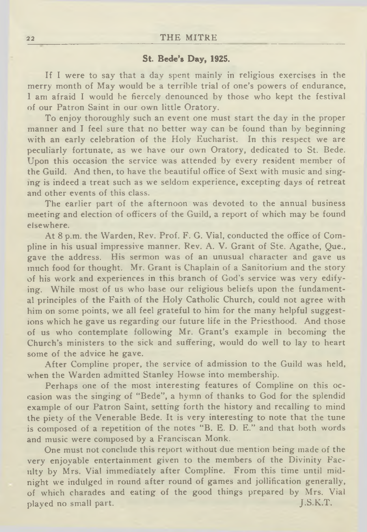#### 22 THE MITRE

#### **St. Bede's Day, 1925.**

If I were to say that a day spent mainly in religious exercises in the merry month of May would be a terrible trial of one's powers of endurance, I am afraid I would he fiercely denounced by those who kept the festival of our Patron Saint in our own little Oratory.

To enjoy thoroughly such an event one must start the day in the proper manner and I feel sure that no better way can be found than by beginning with an early celebration of the Holy Eucharist. In this respect we are peculiarly fortunate, as we have our own Oratory, dedicated to St. Bede. Upon this occasion the service was attended by every resident member of the Guild. And then, to have the beautiful office of Sext with music and singing is indeed a treat such as we seldom experience, excepting days of retreat and other events of this class.

The earlier part of the afternoon was devoted to the annual business meeting and election of officers of the Guild, a report of which may be found elsewhere.

At 8 p.m. the Warden, Rev. Prof. F. G. Vial, conducted the office of Compline in his usual impressive manner. Rev. A. V. Grant of Ste. Agathe, Que., gave the address. His sermon was of an unusual character and gave us much food for thought. Mr. Grant is Chaplain of a Sanitorium and the story of his work and experiences in this branch of God's service was very edifying. While most of us who base our religious beliefs upon the fundamental principles of the Faith of the Holy Catholic Church, could not agree with him on some points, we all feel grateful to him for the many helpful suggestions which he gave us regarding our future life in the Priesthood. And those of us who contemplate following Mr. Grant's example in becoming the Church's ministers to the sick and suffering, would do well to lay to heart some of the advice he gave.

After Compline proper, the service of admission to the Guild was held, when the Warden admitted Stanley Howse into membership.

Perhaps one of the most interesting features of Compline on this occasion was the singing of " Bede", a hymn of thanks to God for the splendid example of our Patron Saint, setting forth the history and recalling to mind the piety of the Venerable Bede. It is very interesting to note that the tune is composed of a repetition of the notes "B. E. D. E." and that both words and music were composed by a Franciscan Monk.

One must not conclude this report without due mention being made of the very enjoyable entertainment given to the members of the Divinity Faculty by Mrs. Vial immediately after Compline. From this time until midnight we indulged in round after round of games and jollification generally, of which charades and eating of the good things prepared by Mrs. Vial played no small part. J.S.K.T.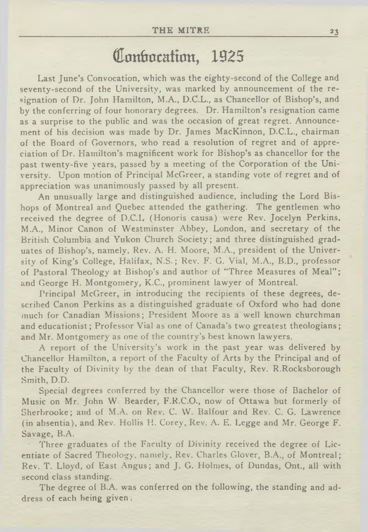### Conbocation, 1925

Last June's Convocation, which was the eighty-second of the College and seventy-second of the University, was marked by announcement of the resignation of Dr. John Hamilton, M.A., D.C.L., as Chancellor of Bishop's, and by the conferring of four honorary degrees. Dr. Hamilton's resignation came as a surprise to the public and was the occasion of great regret. Announcement of his decision was made by Dr. James MacKinnon, D.C.L., chairman of the Board of Governors, who read a resolution of regret and of appreciation of Dr. Hamilton's magnificent work for Bishop's as chancellor for the past twenty-five years, passed by a meeting of the Corporation of the University. Upon motion of Principal McGreer, a standing vote of regret and of appreciation was unanimously passed by all present.

An unusually large and distinguished audience, including the Lord Bishops of Montreal and Quebec attended the gathering. The gentlemen who received the degree of D.C.L (Honoris causa) were Rev. Jocelyn Perkins, M.A., Minor Canon of Westminster Abbey, London, and secretary of the British Columbia and Yukon Church Society; and three distinguished graduates of Bishop's, namely, Rev. A. H. Moore, M.A., president of the University of King's College, Halifax, N.S.; Rev. F. G. Vial, M.A., B.D., professor of Pastoral Theology at Bishop's and author of "Three Measures of Meal" ; and George H. Montgomery, K.C., prominent lawyer of Montreal.

Principal McGreer, in introducing the recipients of these degrees, described Canon Perkins as a distinguished graduate of Oxford who had done much for Canadian Missions; President Moore as a well known churchman and educationist; Professor Vial as one of Canada's two greatest theologians; and Mr. Montgomery as one of the country's best known lawyers.

A report of the University's work in the past year was delivered by Chancellor Hamilton, a report of the Faculty of Arts by the Principal and of the Faculty of Divinity by the dean of that Faculty, Rev. R.Rocksborough Smith, D.D.

Special degrees conferred by the Chancellor were those of Bachelor of Music on Mr. John W Bearder, F.R.C.O., now of Ottawa but formerly of Sherbrooke; and of M.A. on Rev. C. W. Balfour and Rev. C. G. Lawrence (in absentia), and Rev. Hollis H. Corey, Rev. A. E. Legge and Mr. George F. Savage, B.A.

Three graduates of the Faculty of Divinity received the degree of Licentiate of Sacred Theology, namely. Rev. Charles Glover, B.A., of Montreal; Rev. T. Lloyd, of East Angus; and J. G. Holmes, of Dundas, Ont., all with second class standing.

The degree of B.A. was conferred on the following, the standing and address of each being given;